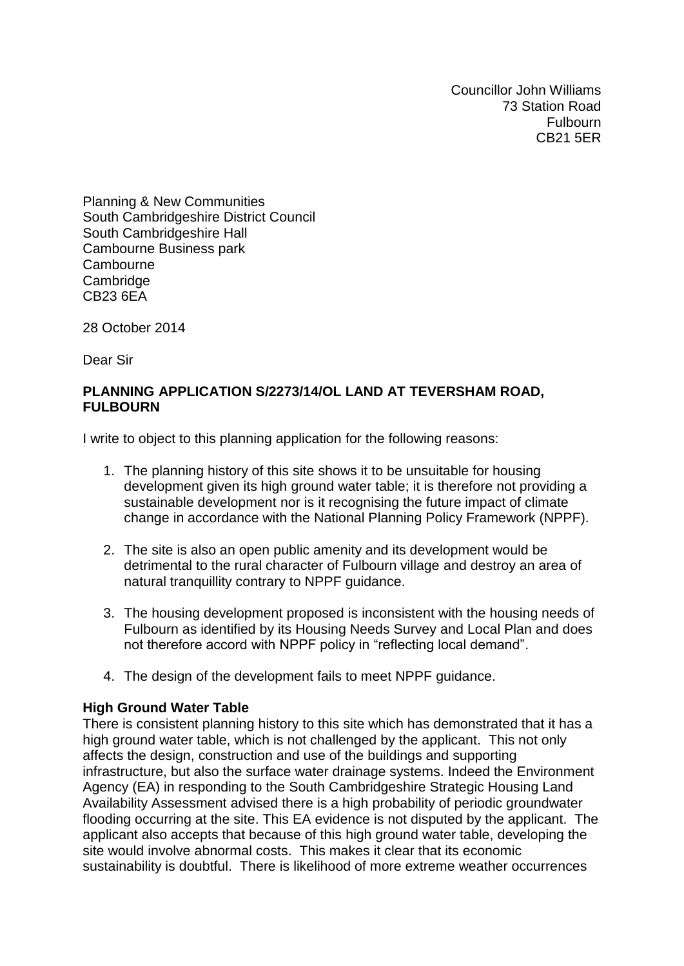Councillor John Williams 73 Station Road Fulbourn CB21 5ER

Planning & New Communities South Cambridgeshire District Council South Cambridgeshire Hall Cambourne Business park **Cambourne Cambridge** CB23 6EA

28 October 2014

Dear Sir

## **PLANNING APPLICATION S/2273/14/OL LAND AT TEVERSHAM ROAD, FULBOURN**

I write to object to this planning application for the following reasons:

- 1. The planning history of this site shows it to be unsuitable for housing development given its high ground water table; it is therefore not providing a sustainable development nor is it recognising the future impact of climate change in accordance with the National Planning Policy Framework (NPPF).
- 2. The site is also an open public amenity and its development would be detrimental to the rural character of Fulbourn village and destroy an area of natural tranquillity contrary to NPPF guidance.
- 3. The housing development proposed is inconsistent with the housing needs of Fulbourn as identified by its Housing Needs Survey and Local Plan and does not therefore accord with NPPF policy in "reflecting local demand".
- 4. The design of the development fails to meet NPPF guidance.

## **High Ground Water Table**

There is consistent planning history to this site which has demonstrated that it has a high ground water table, which is not challenged by the applicant. This not only affects the design, construction and use of the buildings and supporting infrastructure, but also the surface water drainage systems. Indeed the Environment Agency (EA) in responding to the South Cambridgeshire Strategic Housing Land Availability Assessment advised there is a high probability of periodic groundwater flooding occurring at the site. This EA evidence is not disputed by the applicant. The applicant also accepts that because of this high ground water table, developing the site would involve abnormal costs. This makes it clear that its economic sustainability is doubtful. There is likelihood of more extreme weather occurrences